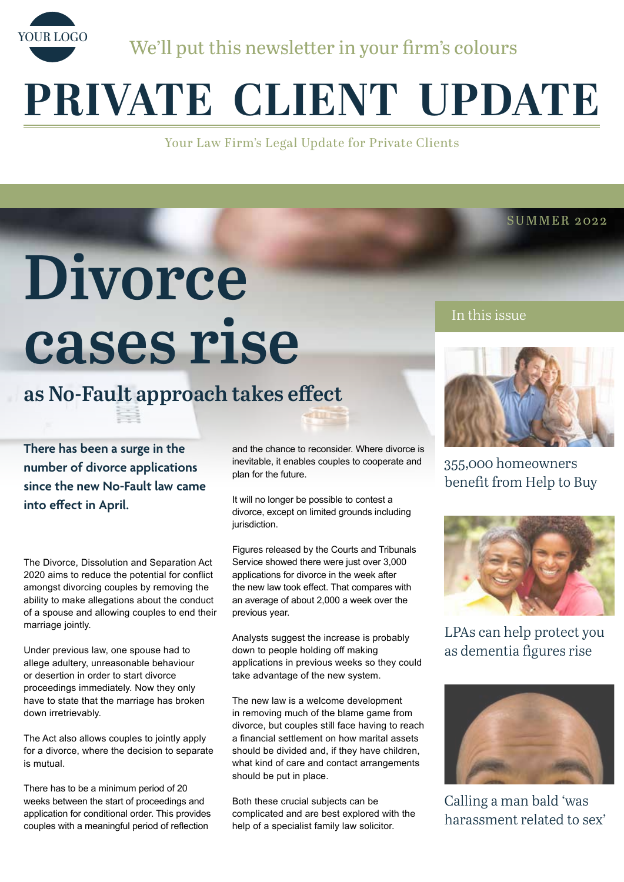

We'll put this newsletter in your firm's colours

# **PRIVATE CLIENT UPDATE**

Your Law Firm's Legal Update for Private Clients

# **Divorce cases rise**

# **as No-Fault approach takes effect**

**There has been a surge in the number of divorce applications since the new No-Fault law came into effect in April.**

The Divorce, Dissolution and Separation Act 2020 aims to reduce the potential for conflict amongst divorcing couples by removing the ability to make allegations about the conduct of a spouse and allowing couples to end their marriage jointly.

Under previous law, one spouse had to allege adultery, unreasonable behaviour or desertion in order to start divorce proceedings immediately. Now they only have to state that the marriage has broken down irretrievably.

The Act also allows couples to jointly apply for a divorce, where the decision to separate is mutual.

There has to be a minimum period of 20 weeks between the start of proceedings and application for conditional order. This provides couples with a meaningful period of reflection

and the chance to reconsider. Where divorce is inevitable, it enables couples to cooperate and plan for the future.

It will no longer be possible to contest a divorce, except on limited grounds including jurisdiction.

Figures released by the Courts and Tribunals Service showed there were just over 3,000 applications for divorce in the week after the new law took effect. That compares with an average of about 2,000 a week over the previous year.

Analysts suggest the increase is probably down to people holding off making applications in previous weeks so they could take advantage of the new system.

The new law is a welcome development in removing much of the blame game from divorce, but couples still face having to reach a financial settlement on how marital assets should be divided and, if they have children, what kind of care and contact arrangements should be put in place.

Both these crucial subjects can be complicated and are best explored with the help of a specialist family law solicitor.

In this issue



SUMMER 2022

355,000 homeowners benefit from Help to Buy



LPAs can help protect you as dementia figures rise



Calling a man bald 'was harassment related to sex'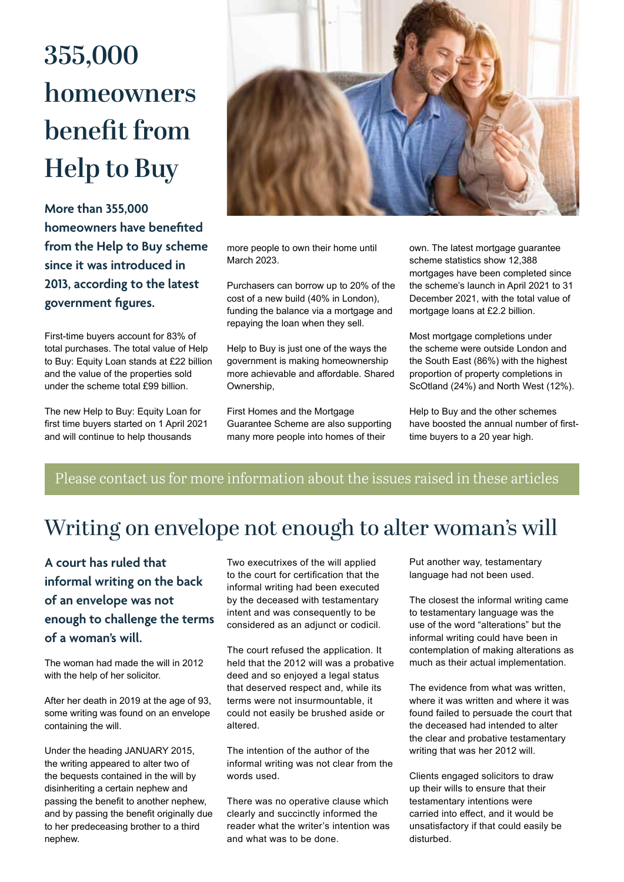# **355,000 homeowners benefit from Help to Buy**

**More than 355,000 homeowners have benefited from the Help to Buy scheme since it was introduced in 2013, according to the latest government figures.**

First-time buyers account for 83% of total purchases. The total value of Help to Buy: Equity Loan stands at £22 billion and the value of the properties sold under the scheme total £99 billion.

The new Help to Buy: Equity Loan for first time buyers started on 1 April 2021 and will continue to help thousands



more people to own their home until March 2023.

Purchasers can borrow up to 20% of the cost of a new build (40% in London), funding the balance via a mortgage and repaying the loan when they sell.

Help to Buy is just one of the ways the government is making homeownership more achievable and affordable. Shared **Ownership** 

First Homes and the Mortgage Guarantee Scheme are also supporting many more people into homes of their

own. The latest mortgage guarantee scheme statistics show 12,388 mortgages have been completed since the scheme's launch in April 2021 to 31 December 2021, with the total value of mortgage loans at £2.2 billion.

Most mortgage completions under the scheme were outside London and the South East (86%) with the highest proportion of property completions in ScOtland (24%) and North West (12%).

Help to Buy and the other schemes have boosted the annual number of firsttime buyers to a 20 year high.

### Please contact us for more information about the issues raised in these articles

## Writing on envelope not enough to alter woman's will

**A court has ruled that informal writing on the back of an envelope was not enough to challenge the terms of a woman's will.** 

The woman had made the will in 2012 with the help of her solicitor.

After her death in 2019 at the age of 93, some writing was found on an envelope containing the will.

Under the heading JANUARY 2015, the writing appeared to alter two of the bequests contained in the will by disinheriting a certain nephew and passing the benefit to another nephew, and by passing the benefit originally due to her predeceasing brother to a third nephew.

Two executrixes of the will applied to the court for certification that the informal writing had been executed by the deceased with testamentary intent and was consequently to be considered as an adjunct or codicil.

The court refused the application. It held that the 2012 will was a probative deed and so enjoyed a legal status that deserved respect and, while its terms were not insurmountable, it could not easily be brushed aside or altered.

The intention of the author of the informal writing was not clear from the words used.

There was no operative clause which clearly and succinctly informed the reader what the writer's intention was and what was to be done.

Put another way, testamentary language had not been used.

The closest the informal writing came to testamentary language was the use of the word "alterations" but the informal writing could have been in contemplation of making alterations as much as their actual implementation.

The evidence from what was written, where it was written and where it was found failed to persuade the court that the deceased had intended to alter the clear and probative testamentary writing that was her 2012 will.

Clients engaged solicitors to draw up their wills to ensure that their testamentary intentions were carried into effect, and it would be unsatisfactory if that could easily be disturbed.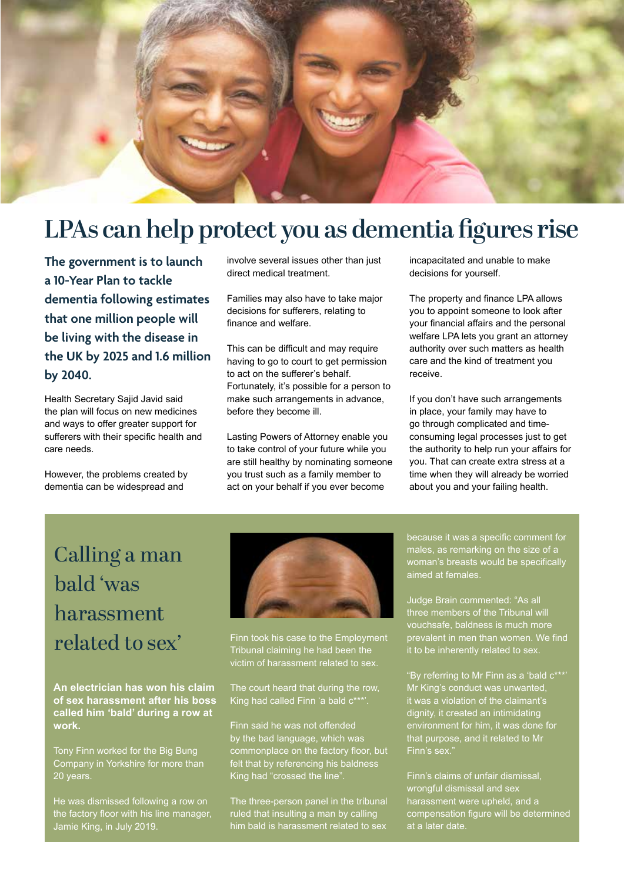

## **LPAs can help protect you as dementia figures rise**

**The government is to launch a 10-Year Plan to tackle dementia following estimates that one million people will be living with the disease in the UK by 2025 and 1.6 million by 2040.**

Health Secretary Sajid Javid said the plan will focus on new medicines and ways to offer greater support for sufferers with their specific health and care needs.

However, the problems created by dementia can be widespread and

involve several issues other than just direct medical treatment.

Families may also have to take major decisions for sufferers, relating to finance and welfare.

This can be difficult and may require having to go to court to get permission to act on the sufferer's behalf. Fortunately, it's possible for a person to make such arrangements in advance, before they become ill.

Lasting Powers of Attorney enable you to take control of your future while you are still healthy by nominating someone you trust such as a family member to act on your behalf if you ever become

incapacitated and unable to make decisions for yourself.

The property and finance LPA allows you to appoint someone to look after your financial affairs and the personal welfare LPA lets you grant an attorney authority over such matters as health care and the kind of treatment you receive.

If you don't have such arrangements in place, your family may have to go through complicated and timeconsuming legal processes just to get the authority to help run your affairs for you. That can create extra stress at a time when they will already be worried about you and your failing health.

## Calling a man bald 'was harassment related to sex'

**An electrician has won his claim of sex harassment after his boss called him 'bald' during a row at work.** 

Tony Finn worked for the Big Bung Company in Yorkshire for more than 20 years.

He was dismissed following a row on the factory floor with his line manager, Jamie King, in July 2019.



Finn took his case to the Employment Tribunal claiming he had been the victim of harassment related to sex.

The court heard that during the row, King had called Finn 'a bald  $c^{***}$ 

Finn said he was not offended by the bad language, which was commonplace on the factory floor, but felt that by referencing his baldness King had "crossed the line".

The three-person panel in the tribunal ruled that insulting a man by calling him bald is harassment related to sex

because it was a specific comment for males, as remarking on the size of a woman's breasts would be specifically aimed at females.

Judge Brain commented: "As all three members of the Tribunal will vouchsafe, baldness is much more prevalent in men than women. We find it to be inherently related to sex.

"By referring to Mr Finn as a 'bald c\*\*\*' Mr King's conduct was unwanted, it was a violation of the claimant's dignity, it created an intimidating environment for him, it was done for that purpose, and it related to Mr

Finn's claims of unfair dismissal, wrongful dismissal and sex harassment were upheld, and a compensation figure will be determined at a later date.